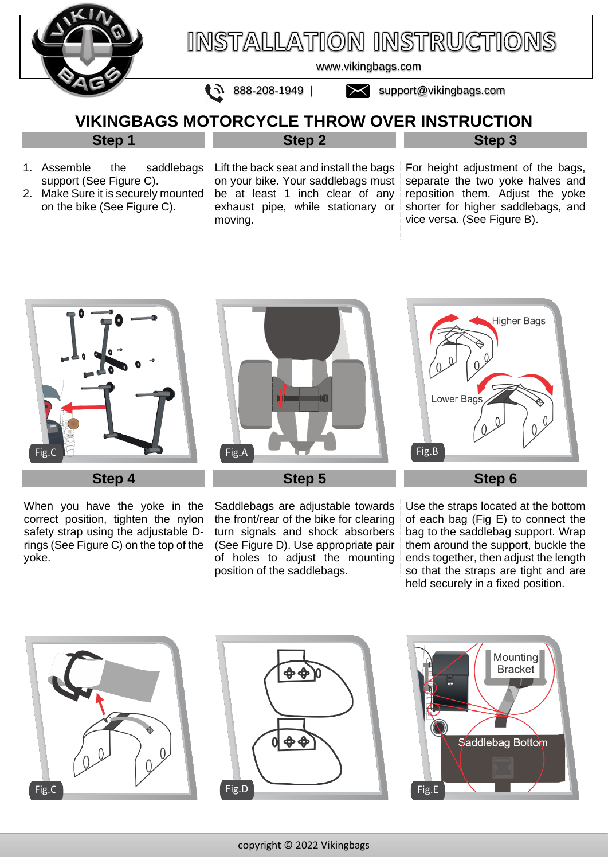

# **INSTALLATION INSTRUCTIONS**

[www.vikingbags.com](http://www.vikingbags.com/) 

 $\bullet$  888-208-1949 | [support@vikingbags.com](mailto:support@vikingbags.com)

## **VIKINGBAGS MOTORCYCLE THROW OVER INSTRUCTION Step 2**

### **Step 1**

- 1. Assemble the saddlebags support (See Figure C).
- 2. Make Sure it is securely mounted on the bike (See Figure C).

Lift the back seat and install the bags on your bike. Your saddlebags must be at least 1 inch clear of any exhaust pipe, while stationary or moving.

For height adjustment of the bags, separate the two yoke halves and reposition them. Adjust the yoke shorter for higher saddlebags, and vice versa. (See Figure B).

**Step 3**



When you have the yoke in the correct position, tighten the nylon safety strap using the adjustable Drings (See Figure C) on the top of the yoke.



**Step 5**

Saddlebags are adjustable towards the front/rear of the bike for clearing turn signals and shock absorbers (See Figure D). Use appropriate pair of holes to adjust the mounting position of the saddlebags.



Use the straps located at the bottom of each bag (Fig E) to connect the bag to the saddlebag support. Wrap them around the support, buckle the ends together, then adjust the length so that the straps are tight and are held securely in a fixed position.